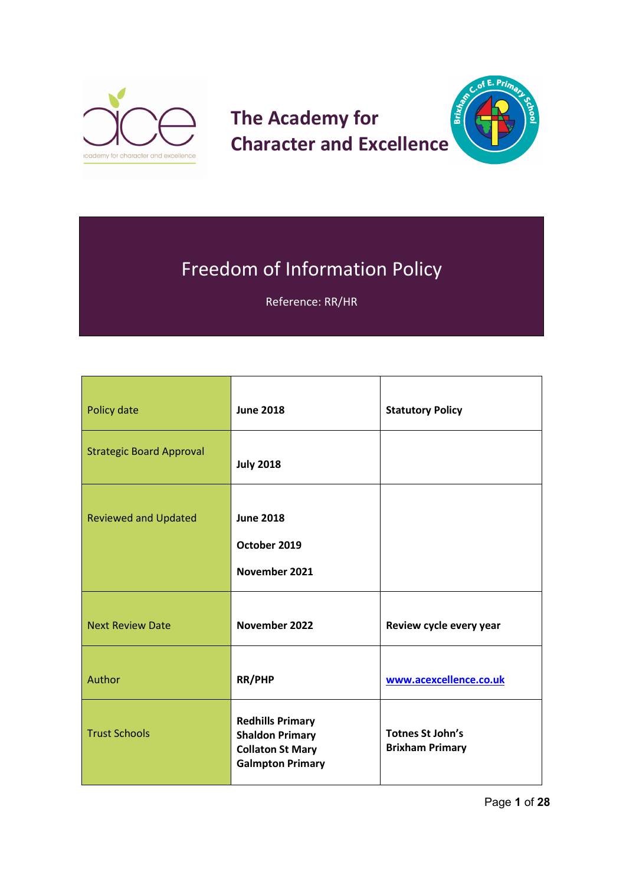

# $E. Pri<sub>D</sub>$ **The Academy for Brief Character and Excellence**



Reference: RR/HR

| Policy date                     | <b>June 2018</b>                                                                                        | <b>Statutory Policy</b>                           |
|---------------------------------|---------------------------------------------------------------------------------------------------------|---------------------------------------------------|
| <b>Strategic Board Approval</b> | <b>July 2018</b>                                                                                        |                                                   |
| <b>Reviewed and Updated</b>     | <b>June 2018</b><br>October 2019<br>November 2021                                                       |                                                   |
| <b>Next Review Date</b>         | November 2022                                                                                           | Review cycle every year                           |
| Author                          | <b>RR/PHP</b>                                                                                           | www.acexcellence.co.uk                            |
| <b>Trust Schools</b>            | <b>Redhills Primary</b><br><b>Shaldon Primary</b><br><b>Collaton St Mary</b><br><b>Galmpton Primary</b> | <b>Totnes St John's</b><br><b>Brixham Primary</b> |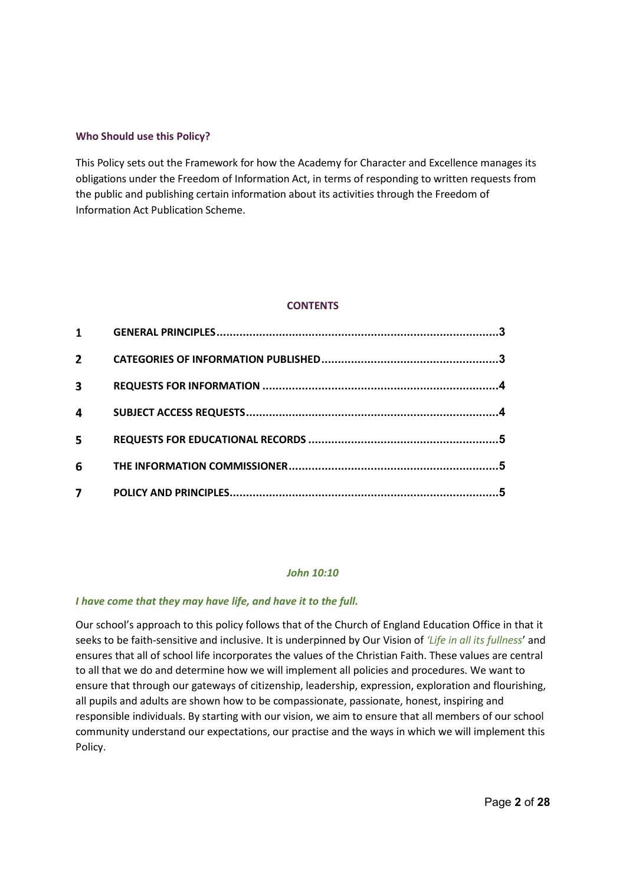### **Who Should use this Policy?**

This Policy sets out the Framework for how the Academy for Character and Excellence manages its obligations under the Freedom of Information Act, in terms of responding to written requests from the public and publishing certain information about its activities through the Freedom of Information Act Publication Scheme.

### **CONTENTS**

| $\overline{2}$ |  |
|----------------|--|
|                |  |
| 3              |  |
| 4              |  |
| 5              |  |
| 6              |  |
|                |  |

#### *John 10:10*

#### *I have come that they may have life, and have it to the full.*

Our school's approach to this policy follows that of the Church of England Education Office in that it seeks to be faith-sensitive and inclusive. It is underpinned by Our Vision of *'Life in all its fullness*' and ensures that all of school life incorporates the values of the Christian Faith. These values are central to all that we do and determine how we will implement all policies and procedures. We want to ensure that through our gateways of citizenship, leadership, expression, exploration and flourishing, all pupils and adults are shown how to be compassionate, passionate, honest, inspiring and responsible individuals. By starting with our vision, we aim to ensure that all members of our school community understand our expectations, our practise and the ways in which we will implement this Policy.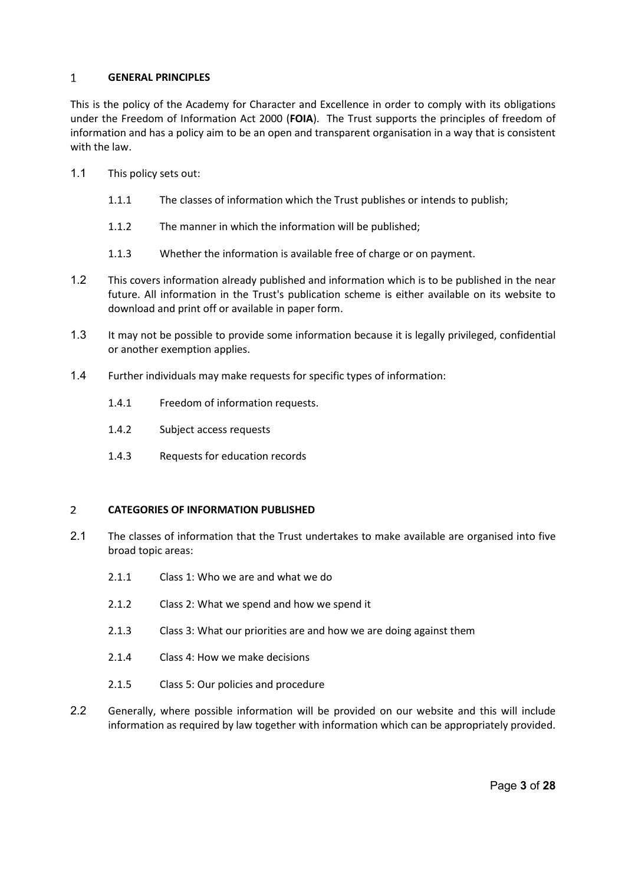#### <span id="page-2-0"></span>**GENERAL PRINCIPLES**  $\mathbf{1}$

This is the policy of the Academy for Character and Excellence in order to comply with its obligations under the Freedom of Information Act 2000 (**FOIA**). The Trust supports the principles of freedom of information and has a policy aim to be an open and transparent organisation in a way that is consistent with the law.

- 1.1 This policy sets out:
	- 1.1.1 The classes of information which the Trust publishes or intends to publish;
	- 1.1.2 The manner in which the information will be published;
	- 1.1.3 Whether the information is available free of charge or on payment.
- 1.2 This covers information already published and information which is to be published in the near future. All information in the Trust's publication scheme is either available on its website to download and print off or available in paper form.
- 1.3 It may not be possible to provide some information because it is legally privileged, confidential or another exemption applies.
- 1.4 Further individuals may make requests for specific types of information:
	- 1.4.1 Freedom of information requests.
	- 1.4.2 Subject access requests
	- 1.4.3 Requests for education records

#### <span id="page-2-1"></span> $\overline{2}$ **CATEGORIES OF INFORMATION PUBLISHED**

- 2.1 The classes of information that the Trust undertakes to make available are organised into five broad topic areas:
	- 2.1.1 Class 1: Who we are and what we do
	- 2.1.2 Class 2: What we spend and how we spend it
	- 2.1.3 Class 3: What our priorities are and how we are doing against them
	- 2.1.4 Class 4: How we make decisions
	- 2.1.5 Class 5: Our policies and procedure
- 2.2 Generally, where possible information will be provided on our website and this will include information as required by law together with information which can be appropriately provided.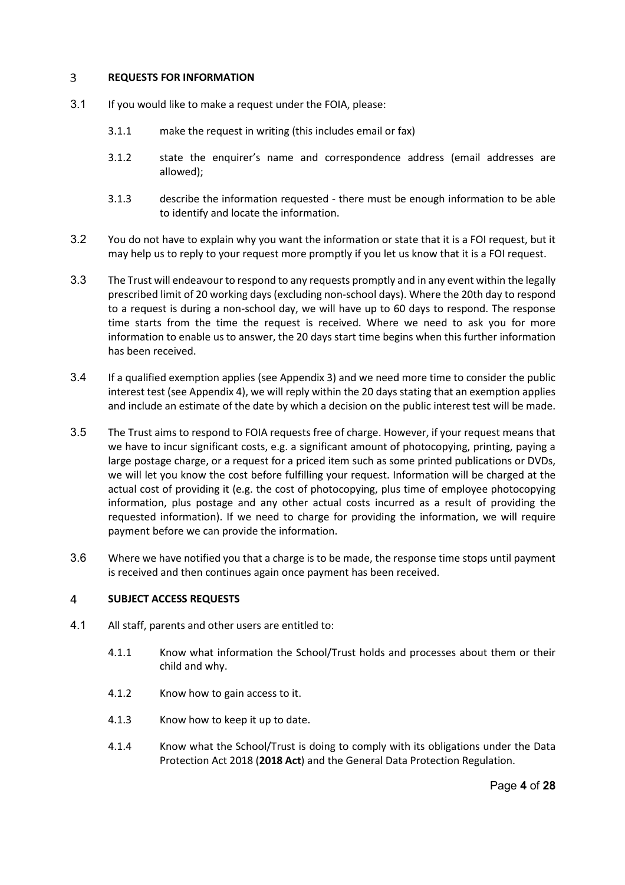#### <span id="page-3-0"></span> $\overline{3}$ **REQUESTS FOR INFORMATION**

- 3.1 If you would like to make a request under the FOIA, please:
	- 3.1.1 make the request in writing (this includes email or fax)
	- 3.1.2 state the enquirer's name and correspondence address (email addresses are allowed);
	- 3.1.3 describe the information requested there must be enough information to be able to identify and locate the information.
- 3.2 You do not have to explain why you want the information or state that it is a FOI request, but it may help us to reply to your request more promptly if you let us know that it is a FOI request.
- 3.3 The Trust will endeavour to respond to any requests promptly and in any event within the legally prescribed limit of 20 working days (excluding non-school days). Where the 20th day to respond to a request is during a non-school day, we will have up to 60 days to respond. The response time starts from the time the request is received. Where we need to ask you for more information to enable us to answer, the 20 days start time begins when this further information has been received.
- 3.4 If a qualified exemption applies (see Appendix 3) and we need more time to consider the public interest test (see Appendix 4), we will reply within the 20 days stating that an exemption applies and include an estimate of the date by which a decision on the public interest test will be made.
- 3.5 The Trust aims to respond to FOIA requests free of charge. However, if your request means that we have to incur significant costs, e.g. a significant amount of photocopying, printing, paying a large postage charge, or a request for a priced item such as some printed publications or DVDs, we will let you know the cost before fulfilling your request. Information will be charged at the actual cost of providing it (e.g. the cost of photocopying, plus time of employee photocopying information, plus postage and any other actual costs incurred as a result of providing the requested information). If we need to charge for providing the information, we will require payment before we can provide the information.
- 3.6 Where we have notified you that a charge is to be made, the response time stops until payment is received and then continues again once payment has been received.

#### <span id="page-3-1"></span> $\overline{4}$ **SUBJECT ACCESS REQUESTS**

- 4.1 All staff, parents and other users are entitled to:
	- 4.1.1 Know what information the School/Trust holds and processes about them or their child and why.
	- 4.1.2 Know how to gain access to it.
	- 4.1.3 Know how to keep it up to date.
	- 4.1.4 Know what the School/Trust is doing to comply with its obligations under the Data Protection Act 2018 (**2018 Act**) and the General Data Protection Regulation.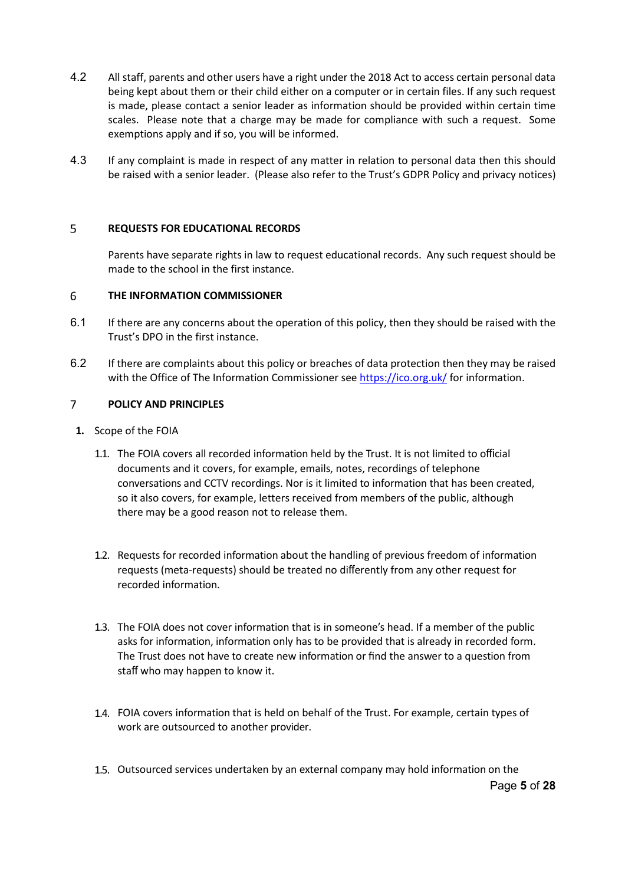- 4.2 All staff, parents and other users have a right under the 2018 Act to access certain personal data being kept about them or their child either on a computer or in certain files. If any such request is made, please contact a senior leader as information should be provided within certain time scales. Please note that a charge may be made for compliance with such a request. Some exemptions apply and if so, you will be informed.
- 4.3 If any complaint is made in respect of any matter in relation to personal data then this should be raised with a senior leader. (Please also refer to the Trust's GDPR Policy and privacy notices)

#### <span id="page-4-0"></span> $5\overline{)}$ **REQUESTS FOR EDUCATIONAL RECORDS**

Parents have separate rights in law to request educational records. Any such request should be made to the school in the first instance.

#### <span id="page-4-1"></span>6 **THE INFORMATION COMMISSIONER**

- 6.1 If there are any concerns about the operation of this policy, then they should be raised with the Trust's DPO in the first instance.
- 6.2 If there are complaints about this policy or breaches of data protection then they may be raised with the Office of The Information Commissioner se[e https://ico.org.uk/](https://ico.org.uk/) for information.

#### <span id="page-4-2"></span> $\overline{7}$ **POLICY AND PRINCIPLES**

- **1.** Scope of the FOIA
	- 1.1. The FOIA covers all recorded information held by the Trust. It is not limited to official documents and it covers, for example, emails, notes, recordings of telephone conversations and CCTV recordings. Nor is it limited to information that has been created, so it also covers, for example, letters received from members of the public, although there may be a good reason not to release them.
	- 1.2. Requests for recorded information about the handling of previous freedom of information requests (meta-requests) should be treated no differently from any other request for recorded information.
	- 1.3. The FOIA does not cover information that is in someone's head. If a member of the public asks for information, information only has to be provided that is already in recorded form. The Trust does not have to create new information or find the answer to a question from staff who may happen to know it.
	- 1.4. FOIA covers information that is held on behalf of the Trust. For example, certain types of work are outsourced to another provider.
	- 1.5. Outsourced services undertaken by an external company may hold information on the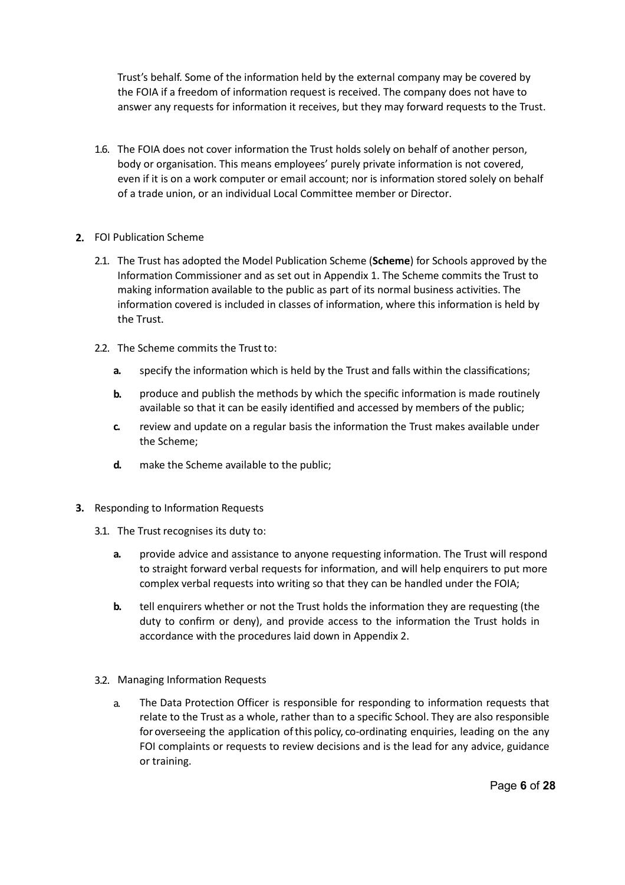Trust's behalf. Some of the information held by the external company may be covered by the FOIA if a freedom of information request is received. The company does not have to answer any requests for information it receives, but they may forward requests to the Trust.

- 1.6. The FOIA does not cover information the Trust holds solely on behalf of another person, body or organisation. This means employees' purely private information is not covered, even if it is on a work computer or email account; nor is information stored solely on behalf of a trade union, or an individual Local Committee member or Director.
- **2.** FOI Publication Scheme
	- 2.1. The Trust has adopted the Model Publication Scheme (**Scheme**) for Schools approved by the Information Commissioner and as set out in Appendix 1. The Scheme commits the Trust to making information available to the public as part of its normal business activities. The information covered is included in classes of information, where this information is held by the Trust.
	- 2.2. The Scheme commits the Trust to:
		- **a.** specify the information which is held by the Trust and falls within the classifications;
		- **b.** produce and publish the methods by which the specific information is made routinely available so that it can be easily identified and accessed by members of the public;
		- **c.** review and update on a regular basis the information the Trust makes available under the Scheme;
		- **d.** make the Scheme available to the public;
- **3.** Responding to Information Requests
	- 3.1. The Trust recognises its duty to:
		- **a.** provide advice and assistance to anyone requesting information. The Trust will respond to straight forward verbal requests for information, and will help enquirers to put more complex verbal requests into writing so that they can be handled under the FOIA;
		- **b.** tell enquirers whether or not the Trust holds the information they are requesting (the duty to confirm or deny), and provide access to the information the Trust holds in accordance with the procedures laid down in Appendix 2.
	- 3.2. Managing Information Requests
		- a. The Data Protection Officer is responsible for responding to information requests that relate to the Trust as a whole, rather than to a specific School. They are also responsible for overseeing the application of this policy, co-ordinating enquiries, leading on the any FOI complaints or requests to review decisions and is the lead for any advice, guidance or training.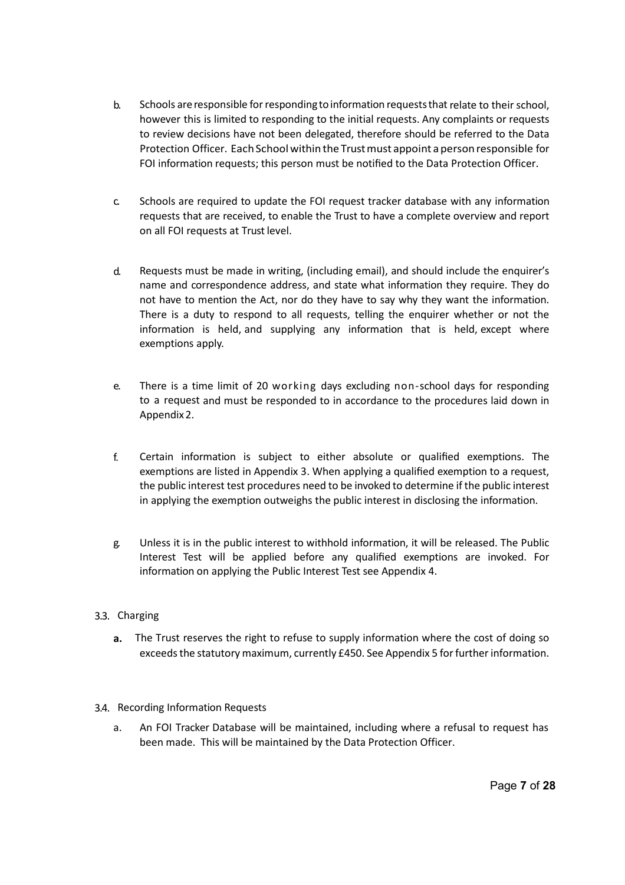- b. Schools are responsible for responding to information requests that relate to their school, however this is limited to responding to the initial requests. Any complaints or requests to review decisions have not been delegated, therefore should be referred to the Data Protection Officer. Each School within the Trust must appoint a person responsible for FOI information requests; this person must be notified to the Data Protection Officer.
- c. Schools are required to update the FOI request tracker database with any information requests that are received, to enable the Trust to have a complete overview and report on all FOI requests at Trust level.
- d. Requests must be made in writing, (including email), and should include the enquirer's name and correspondence address, and state what information they require. They do not have to mention the Act, nor do they have to say why they want the information. There is a duty to respond to all requests, telling the enquirer whether or not the information is held, and supplying any information that is held, except where exemptions apply.
- e. There is a time limit of 20 working days excluding non-school days for responding to a request and must be responded to in accordance to the procedures laid down in Appendix2.
- f. Certain information is subject to either absolute or qualified exemptions. The exemptions are listed in Appendix 3. When applying a qualified exemption to a request, the public interest test procedures need to be invoked to determine if the public interest in applying the exemption outweighs the public interest in disclosing the information.
- g. Unless it is in the public interest to withhold information, it will be released. The Public Interest Test will be applied before any qualified exemptions are invoked. For information on applying the Public Interest Test see Appendix 4.
- 3.3. Charging
	- **a.** The Trust reserves the right to refuse to supply information where the cost of doing so exceeds the statutory maximum, currently £450. See Appendix 5 for further information.
- 3.4. Recording Information Requests
	- a. An FOI Tracker Database will be maintained, including where a refusal to request has been made. This will be maintained by the Data Protection Officer.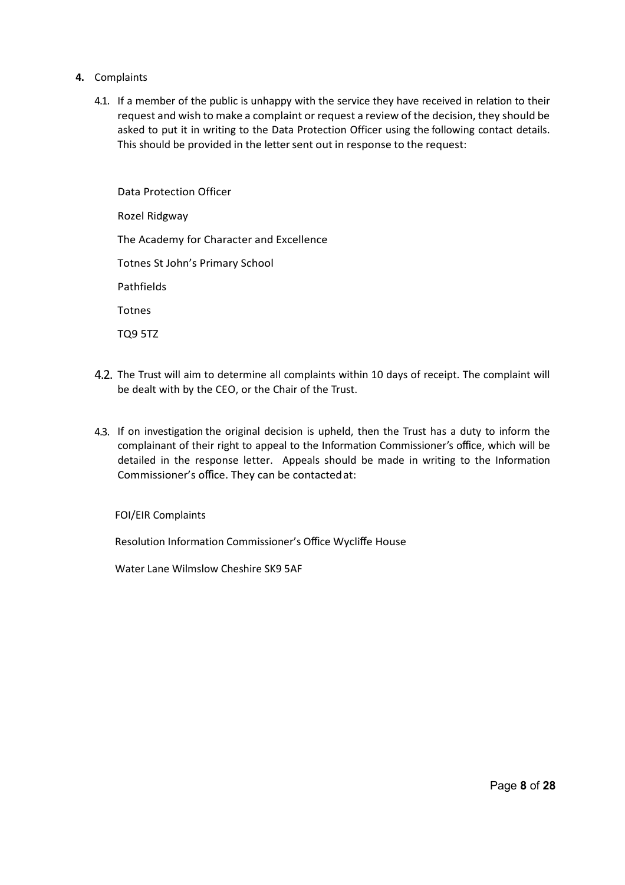- **4.** Complaints
	- 4.1. If a member of the public is unhappy with the service they have received in relation to their request and wish to make a complaint or request a review of the decision, they should be asked to put it in writing to the Data Protection Officer using the following contact details. This should be provided in the letter sent out in response to the request:

Data Protection Officer Rozel Ridgway The Academy for Character and Excellence Totnes St John's Primary School Pathfields Totnes TQ9 5TZ

- 4.2. The Trust will aim to determine all complaints within 10 days of receipt. The complaint will be dealt with by the CEO, or the Chair of the Trust.
- 4.3. If on investigation the original decision is upheld, then the Trust has a duty to inform the complainant of their right to appeal to the Information Commissioner's office, which will be detailed in the response letter. Appeals should be made in writing to the Information Commissioner's office. They can be contactedat:

FOI/EIR Complaints

Resolution Information Commissioner's Office Wycliffe House

Water Lane Wilmslow Cheshire SK9 5AF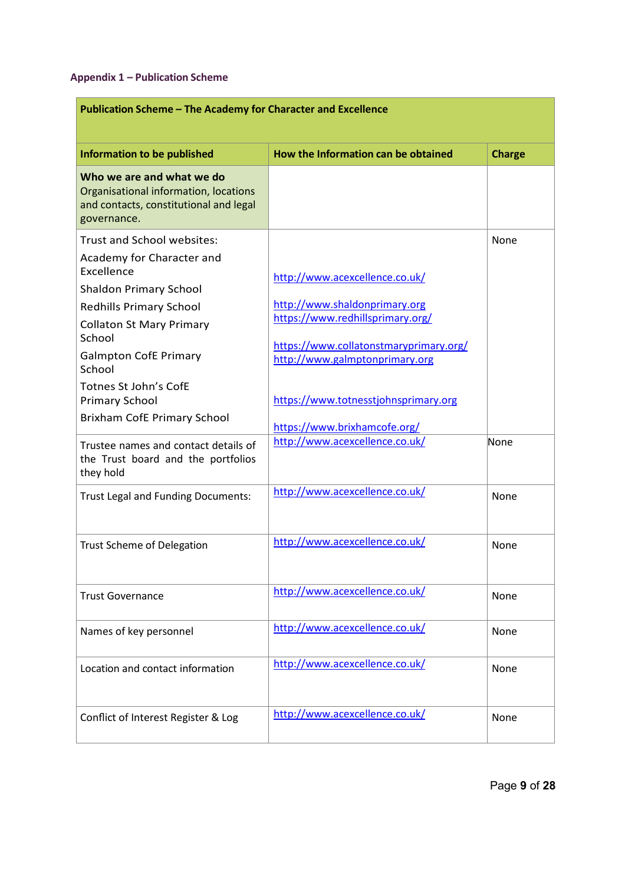### **Appendix 1 – Publication Scheme**

| Publication Scheme - The Academy for Character and Excellence                                                                                                                           |                                                                                                                                                                                 |               |
|-----------------------------------------------------------------------------------------------------------------------------------------------------------------------------------------|---------------------------------------------------------------------------------------------------------------------------------------------------------------------------------|---------------|
| <b>Information to be published</b>                                                                                                                                                      | How the Information can be obtained                                                                                                                                             | <b>Charge</b> |
| Who we are and what we do<br>Organisational information, locations<br>and contacts, constitutional and legal<br>governance.                                                             |                                                                                                                                                                                 |               |
| <b>Trust and School websites:</b>                                                                                                                                                       |                                                                                                                                                                                 | None          |
| Academy for Character and<br>Excellence<br><b>Shaldon Primary School</b><br><b>Redhills Primary School</b><br><b>Collaton St Mary Primary</b><br>School<br><b>Galmpton CofE Primary</b> | http://www.acexcellence.co.uk/<br>http://www.shaldonprimary.org<br>https://www.redhillsprimary.org/<br>https://www.collatonstmaryprimary.org/<br>http://www.galmptonprimary.org |               |
| School<br>Totnes St John's CofE                                                                                                                                                         |                                                                                                                                                                                 |               |
| <b>Primary School</b><br>Brixham CofE Primary School                                                                                                                                    | https://www.totnesstjohnsprimary.org                                                                                                                                            |               |
|                                                                                                                                                                                         | https://www.brixhamcofe.org/                                                                                                                                                    |               |
| Trustee names and contact details of<br>the Trust board and the portfolios<br>they hold                                                                                                 | http://www.acexcellence.co.uk/                                                                                                                                                  | None          |
| Trust Legal and Funding Documents:                                                                                                                                                      | http://www.acexcellence.co.uk/                                                                                                                                                  | None          |
| <b>Trust Scheme of Delegation</b>                                                                                                                                                       | http://www.acexcellence.co.uk/                                                                                                                                                  | None          |
| <b>Trust Governance</b>                                                                                                                                                                 | http://www.acexcellence.co.uk/                                                                                                                                                  | None          |
| Names of key personnel                                                                                                                                                                  | http://www.acexcellence.co.uk/                                                                                                                                                  | None          |
| Location and contact information                                                                                                                                                        | http://www.acexcellence.co.uk/                                                                                                                                                  | None          |
| Conflict of Interest Register & Log                                                                                                                                                     | http://www.acexcellence.co.uk/                                                                                                                                                  | None          |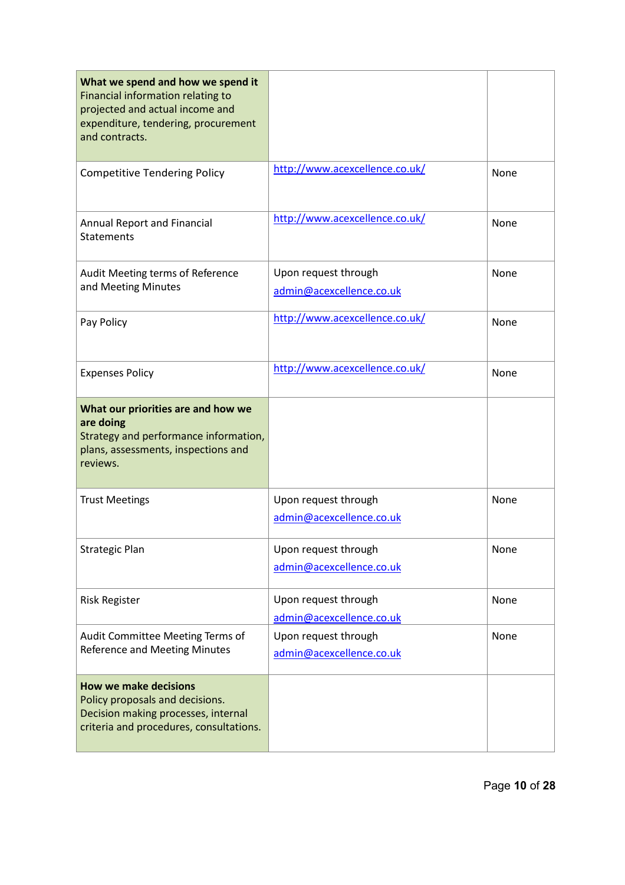| What we spend and how we spend it<br>Financial information relating to<br>projected and actual income and<br>expenditure, tendering, procurement<br>and contracts. |                                                  |      |
|--------------------------------------------------------------------------------------------------------------------------------------------------------------------|--------------------------------------------------|------|
| <b>Competitive Tendering Policy</b>                                                                                                                                | http://www.acexcellence.co.uk/                   | None |
| <b>Annual Report and Financial</b><br><b>Statements</b>                                                                                                            | http://www.acexcellence.co.uk/                   | None |
| Audit Meeting terms of Reference<br>and Meeting Minutes                                                                                                            | Upon request through<br>admin@acexcellence.co.uk | None |
| Pay Policy                                                                                                                                                         | http://www.acexcellence.co.uk/                   | None |
| <b>Expenses Policy</b>                                                                                                                                             | http://www.acexcellence.co.uk/                   | None |
| What our priorities are and how we<br>are doing<br>Strategy and performance information,<br>plans, assessments, inspections and<br>reviews.                        |                                                  |      |
| <b>Trust Meetings</b>                                                                                                                                              | Upon request through<br>admin@acexcellence.co.uk | None |
| <b>Strategic Plan</b>                                                                                                                                              | Upon request through<br>admin@acexcellence.co.uk | None |
| <b>Risk Register</b>                                                                                                                                               | Upon request through<br>admin@acexcellence.co.uk | None |
| Audit Committee Meeting Terms of<br><b>Reference and Meeting Minutes</b>                                                                                           | Upon request through<br>admin@acexcellence.co.uk | None |
| <b>How we make decisions</b><br>Policy proposals and decisions.<br>Decision making processes, internal<br>criteria and procedures, consultations.                  |                                                  |      |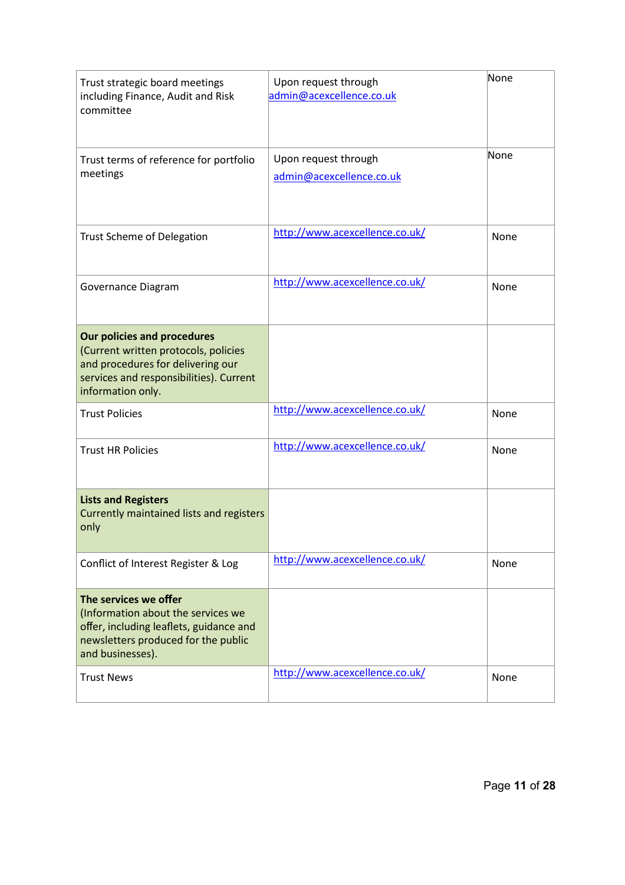| Trust strategic board meetings<br>including Finance, Audit and Risk<br>committee                                                                                                | Upon request through<br>admin@acexcellence.co.uk | None |
|---------------------------------------------------------------------------------------------------------------------------------------------------------------------------------|--------------------------------------------------|------|
| Trust terms of reference for portfolio<br>meetings                                                                                                                              | Upon request through<br>admin@acexcellence.co.uk | None |
| <b>Trust Scheme of Delegation</b>                                                                                                                                               | http://www.acexcellence.co.uk/                   | None |
| Governance Diagram                                                                                                                                                              | http://www.acexcellence.co.uk/                   | None |
| <b>Our policies and procedures</b><br>(Current written protocols, policies<br>and procedures for delivering our<br>services and responsibilities). Current<br>information only. |                                                  |      |
| <b>Trust Policies</b>                                                                                                                                                           | http://www.acexcellence.co.uk/                   | None |
| <b>Trust HR Policies</b>                                                                                                                                                        | http://www.acexcellence.co.uk/                   | None |
| <b>Lists and Registers</b><br>Currently maintained lists and registers<br>only                                                                                                  |                                                  |      |
| Conflict of Interest Register & Log                                                                                                                                             | http://www.acexcellence.co.uk/                   | None |
| The services we offer<br>(Information about the services we<br>offer, including leaflets, guidance and<br>newsletters produced for the public<br>and businesses).               |                                                  |      |
| <b>Trust News</b>                                                                                                                                                               | http://www.acexcellence.co.uk/                   | None |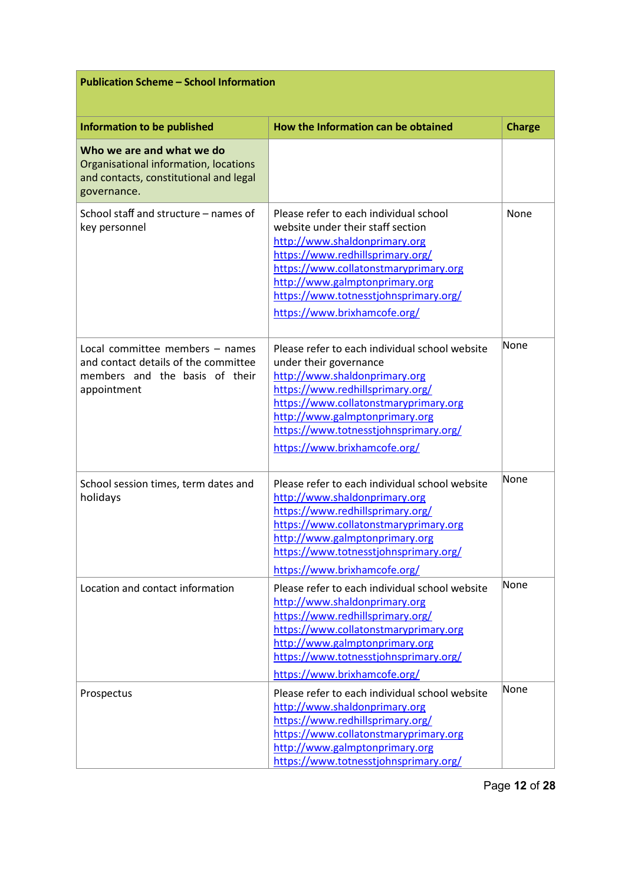| <b>Publication Scheme - School Information</b>                                                                              |                                                                                                                                                                                                                                                                                                      |               |  |
|-----------------------------------------------------------------------------------------------------------------------------|------------------------------------------------------------------------------------------------------------------------------------------------------------------------------------------------------------------------------------------------------------------------------------------------------|---------------|--|
| Information to be published                                                                                                 | How the Information can be obtained                                                                                                                                                                                                                                                                  | <b>Charge</b> |  |
| Who we are and what we do<br>Organisational information, locations<br>and contacts, constitutional and legal<br>governance. |                                                                                                                                                                                                                                                                                                      |               |  |
| School staff and structure - names of<br>key personnel                                                                      | Please refer to each individual school<br>website under their staff section<br>http://www.shaldonprimary.org<br>https://www.redhillsprimary.org/<br>https://www.collatonstmaryprimary.org<br>http://www.galmptonprimary.org<br>https://www.totnesstjohnsprimary.org/<br>https://www.brixhamcofe.org/ | None          |  |
| Local committee members - names<br>and contact details of the committee<br>members and the basis of their<br>appointment    | Please refer to each individual school website<br>under their governance<br>http://www.shaldonprimary.org<br>https://www.redhillsprimary.org/<br>https://www.collatonstmaryprimary.org<br>http://www.galmptonprimary.org<br>https://www.totnesstjohnsprimary.org/<br>https://www.brixhamcofe.org/    | None          |  |
| School session times, term dates and<br>holidays                                                                            | Please refer to each individual school website<br>http://www.shaldonprimary.org<br>https://www.redhillsprimary.org/<br>https://www.collatonstmaryprimary.org<br>http://www.galmptonprimary.org<br>https://www.totnesstjohnsprimary.org/<br>https://www.brixhamcofe.org/                              | None          |  |
| Location and contact information                                                                                            | Please refer to each individual school website<br>http://www.shaldonprimary.org<br>https://www.redhillsprimary.org/<br>https://www.collatonstmaryprimary.org<br>http://www.galmptonprimary.org<br>https://www.totnesstjohnsprimary.org/<br>https://www.brixhamcofe.org/                              | None          |  |
| Prospectus                                                                                                                  | Please refer to each individual school website<br>http://www.shaldonprimary.org<br>https://www.redhillsprimary.org/<br>https://www.collatonstmaryprimary.org<br>http://www.galmptonprimary.org<br>https://www.totnesstjohnsprimary.org/                                                              | None          |  |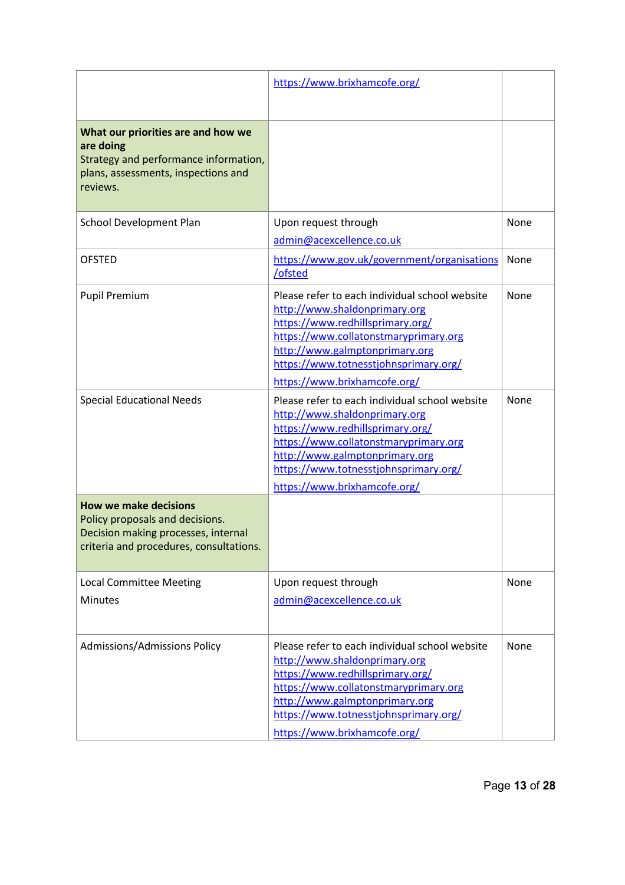|                                                                                                                                                   | https://www.brixhamcofe.org/                                                                                                                                                                                                                                            |             |
|---------------------------------------------------------------------------------------------------------------------------------------------------|-------------------------------------------------------------------------------------------------------------------------------------------------------------------------------------------------------------------------------------------------------------------------|-------------|
| What our priorities are and how we<br>are doing<br>Strategy and performance information,<br>plans, assessments, inspections and<br>reviews.       |                                                                                                                                                                                                                                                                         |             |
| School Development Plan                                                                                                                           | Upon request through<br>admin@acexcellence.co.uk                                                                                                                                                                                                                        | None        |
| <b>OFSTED</b>                                                                                                                                     | https://www.gov.uk/government/organisations<br>/ofsted                                                                                                                                                                                                                  | None        |
| <b>Pupil Premium</b>                                                                                                                              | Please refer to each individual school website<br>http://www.shaldonprimary.org<br>https://www.redhillsprimary.org/<br>https://www.collatonstmaryprimary.org<br>http://www.galmptonprimary.org<br>https://www.totnesstjohnsprimary.org/<br>https://www.brixhamcofe.org/ | <b>None</b> |
| <b>Special Educational Needs</b>                                                                                                                  | Please refer to each individual school website<br>http://www.shaldonprimary.org<br>https://www.redhillsprimary.org/<br>https://www.collatonstmaryprimary.org<br>http://www.galmptonprimary.org<br>https://www.totnesstjohnsprimary.org/<br>https://www.brixhamcofe.org/ | None        |
| <b>How we make decisions</b><br>Policy proposals and decisions.<br>Decision making processes, internal<br>criteria and procedures, consultations. |                                                                                                                                                                                                                                                                         |             |
| <b>Local Committee Meeting</b><br><b>Minutes</b>                                                                                                  | Upon request through<br>admin@acexcellence.co.uk                                                                                                                                                                                                                        | None        |
| Admissions/Admissions Policy                                                                                                                      | Please refer to each individual school website<br>http://www.shaldonprimary.org<br>https://www.redhillsprimary.org/<br>https://www.collatonstmaryprimary.org<br>http://www.galmptonprimary.org<br>https://www.totnesstjohnsprimary.org/<br>https://www.brixhamcofe.org/ | None        |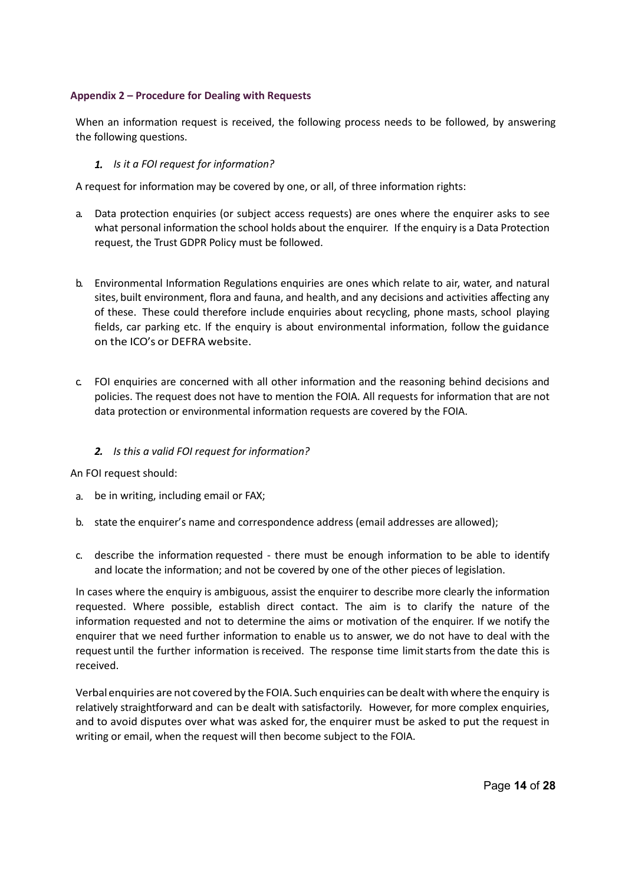### **Appendix 2 – Procedure for Dealing with Requests**

When an information request is received, the following process needs to be followed, by answering the following questions.

## *1. Is it a FOI request for information?*

A request for information may be covered by one, or all, of three information rights:

- a. Data protection enquiries (or subject access requests) are ones where the enquirer asks to see what personal information the school holds about the enquirer. If the enquiry is a Data Protection request, the Trust GDPR Policy must be followed.
- b. Environmental Information Regulations enquiries are ones which relate to air, water, and natural sites, built environment, flora and fauna, and health, and any decisions and activities affecting any of these. These could therefore include enquiries about recycling, phone masts, school playing fields, car parking etc. If the enquiry is about environmental information, follow the guidance on the ICO's or DEFRA website.
- c. FOI enquiries are concerned with all other information and the reasoning behind decisions and policies. The request does not have to mention the FOIA. All requests for information that are not data protection or environmental information requests are covered by the FOIA.

# *2. Is this a valid FOI request for information?*

An FOI request should:

- a. be in writing, including email or FAX;
- b. state the enquirer's name and correspondence address (email addresses are allowed);
- c. describe the information requested there must be enough information to be able to identify and locate the information; and not be covered by one of the other pieces of legislation.

In cases where the enquiry is ambiguous, assist the enquirer to describe more clearly the information requested. Where possible, establish direct contact. The aim is to clarify the nature of the information requested and not to determine the aims or motivation of the enquirer. If we notify the enquirer that we need further information to enable us to answer, we do not have to deal with the request until the further information is received. The response time limit starts from the date this is received.

Verbal enquiries are not covered by the FOIA. Such enquiries can be dealt withwhere the enquiry is relatively straightforward and can be dealt with satisfactorily. However, for more complex enquiries, and to avoid disputes over what was asked for, the enquirer must be asked to put the request in writing or email, when the request will then become subject to the FOIA.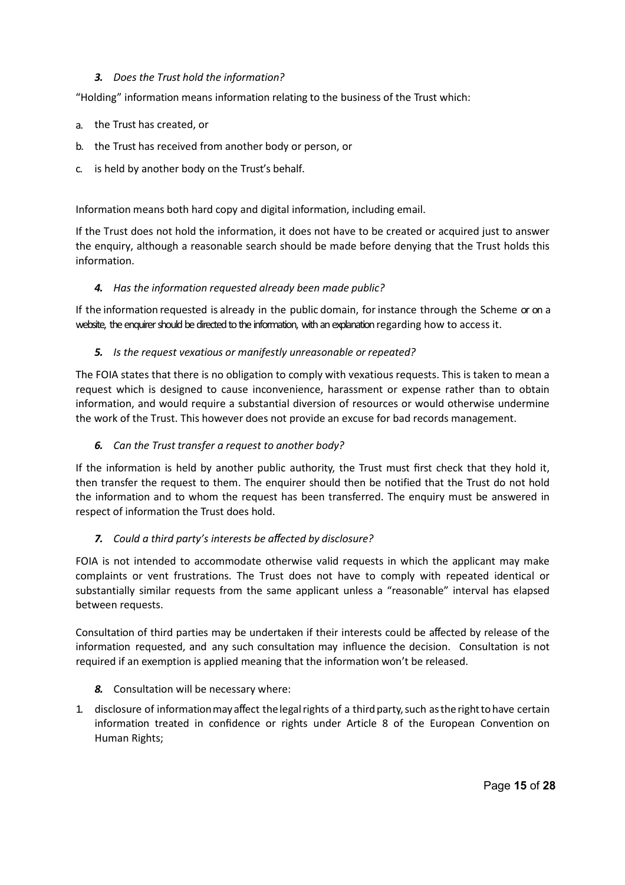# *3. Does the Trust hold the information?*

"Holding" information means information relating to the business of the Trust which:

- a. the Trust has created, or
- b. the Trust has received from another body or person, or
- c. is held by another body on the Trust's behalf.

Information means both hard copy and digital information, including email.

If the Trust does not hold the information, it does not have to be created or acquired just to answer the enquiry, although a reasonable search should be made before denying that the Trust holds this information.

### *4. Has the information requested already been made public?*

If the information requested is already in the public domain, forinstance through the Scheme or on a website, the enquirer should be directed to the information, with an explanation regarding how to access it.

### *5. Is the request vexatious or manifestly unreasonable or repeated?*

The FOIA states that there is no obligation to comply with vexatious requests. This is taken to mean a request which is designed to cause inconvenience, harassment or expense rather than to obtain information, and would require a substantial diversion of resources or would otherwise undermine the work of the Trust. This however does not provide an excuse for bad records management.

## *6. Can the Trust transfer a request to another body?*

If the information is held by another public authority, the Trust must first check that they hold it, then transfer the request to them. The enquirer should then be notified that the Trust do not hold the information and to whom the request has been transferred. The enquiry must be answered in respect of information the Trust does hold.

# *7. Could a third party's interests be affected by disclosure?*

FOIA is not intended to accommodate otherwise valid requests in which the applicant may make complaints or vent frustrations. The Trust does not have to comply with repeated identical or substantially similar requests from the same applicant unless a "reasonable" interval has elapsed between requests.

Consultation of third parties may be undertaken if their interests could be affected by release of the information requested, and any such consultation may influence the decision. Consultation is not required if an exemption is applied meaning that the information won't be released.

- *8.* Consultation will be necessary where:
- 1. disclosure of information may affect the legal rights of a third party, such as the right to have certain information treated in confidence or rights under Article 8 of the European Convention on Human Rights;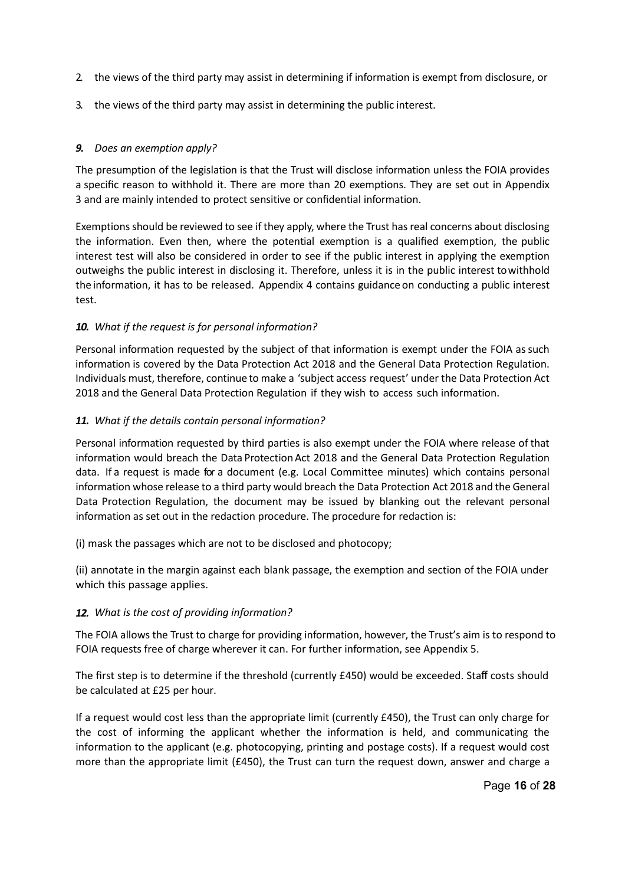- 2. the views of the third party may assist in determining if information is exempt from disclosure, or
- 3. the views of the third party may assist in determining the public interest.

# *9. Does an exemption apply?*

The presumption of the legislation is that the Trust will disclose information unless the FOIA provides a specific reason to withhold it. There are more than 20 exemptions. They are set out in Appendix 3 and are mainly intended to protect sensitive or confidential information.

Exemptions should be reviewed to see if they apply, where the Trust has real concerns about disclosing the information. Even then, where the potential exemption is a qualified exemption, the public interest test will also be considered in order to see if the public interest in applying the exemption outweighs the public interest in disclosing it. Therefore, unless it is in the public interest towithhold the information, it has to be released. Appendix 4 contains guidance on conducting a public interest test.

# *10. What if the request is for personal information?*

Personal information requested by the subject of that information is exempt under the FOIA as such information is covered by the Data Protection Act 2018 and the General Data Protection Regulation. Individuals must, therefore, continue to make a 'subject access request' under the Data Protection Act 2018 and the General Data Protection Regulation if they wish to access such information.

# *11. What if the details contain personal information?*

Personal information requested by third parties is also exempt under the FOIA where release of that information would breach the Data Protection Act 2018 and the General Data Protection Regulation data. If a request is made for a document (e.g. Local Committee minutes) which contains personal information whose release to a third party would breach the Data Protection Act 2018 and the General Data Protection Regulation, the document may be issued by blanking out the relevant personal information as set out in the redaction procedure. The procedure for redaction is:

(i) mask the passages which are not to be disclosed and photocopy;

(ii) annotate in the margin against each blank passage, the exemption and section of the FOIA under which this passage applies.

# *12. What is the cost of providing information?*

The FOIA allows the Trust to charge for providing information, however, the Trust's aim is to respond to FOIA requests free of charge wherever it can. For further information, see Appendix 5.

The first step is to determine if the threshold (currently £450) would be exceeded. Staff costs should be calculated at £25 per hour.

If a request would cost less than the appropriate limit (currently £450), the Trust can only charge for the cost of informing the applicant whether the information is held, and communicating the information to the applicant (e.g. photocopying, printing and postage costs). If a request would cost more than the appropriate limit (£450), the Trust can turn the request down, answer and charge a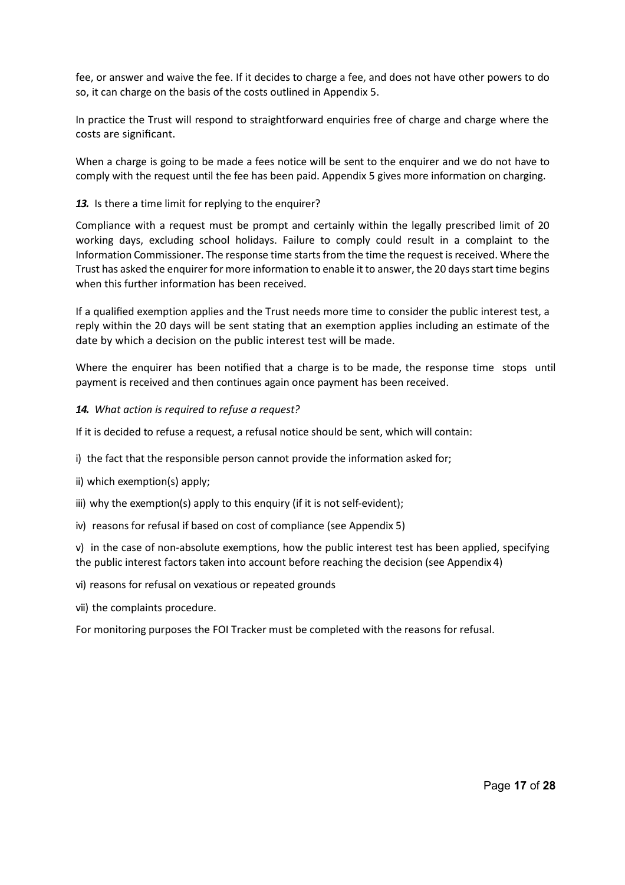fee, or answer and waive the fee. If it decides to charge a fee, and does not have other powers to do so, it can charge on the basis of the costs outlined in Appendix 5.

In practice the Trust will respond to straightforward enquiries free of charge and charge where the costs are significant.

When a charge is going to be made a fees notice will be sent to the enquirer and we do not have to comply with the request until the fee has been paid. Appendix 5 gives more information on charging.

### *13.* Is there a time limit for replying to the enquirer?

Compliance with a request must be prompt and certainly within the legally prescribed limit of 20 working days, excluding school holidays. Failure to comply could result in a complaint to the Information Commissioner. The response time starts from the time the request is received. Where the Trust has asked the enquirer for more information to enable it to answer, the 20 days start time begins when this further information has been received.

If a qualified exemption applies and the Trust needs more time to consider the public interest test, a reply within the 20 days will be sent stating that an exemption applies including an estimate of the date by which a decision on the public interest test will be made.

Where the enquirer has been notified that a charge is to be made, the response time stops until payment is received and then continues again once payment has been received.

### *14. What action is required to refuse a request?*

If it is decided to refuse a request, a refusal notice should be sent, which will contain:

i) the fact that the responsible person cannot provide the information asked for;

ii) which exemption(s) apply;

iii) why the exemption(s) apply to this enquiry (if it is not self-evident);

iv) reasons for refusal if based on cost of compliance (see Appendix 5)

v) in the case of non-absolute exemptions, how the public interest test has been applied, specifying the public interest factors taken into account before reaching the decision (see Appendix 4)

#### vi) reasons for refusal on vexatious or repeated grounds

vii) the complaints procedure.

For monitoring purposes the FOI Tracker must be completed with the reasons for refusal.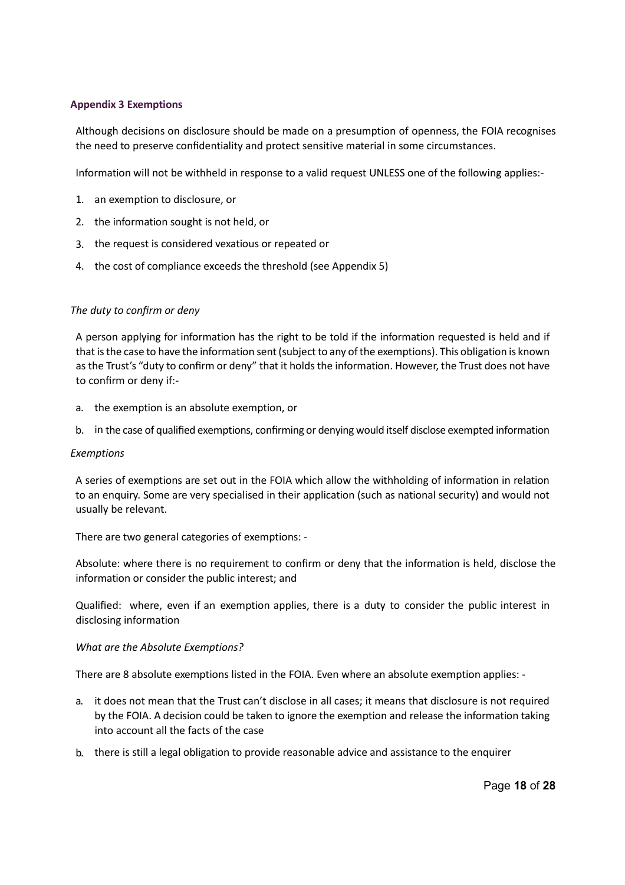### **Appendix 3 Exemptions**

Although decisions on disclosure should be made on a presumption of openness, the FOIA recognises the need to preserve confidentiality and protect sensitive material in some circumstances.

Information will not be withheld in response to a valid request UNLESS one of the following applies:-

- 1. an exemption to disclosure, or
- 2. the information sought is not held, or
- 3. the request is considered vexatious or repeated or
- 4. the cost of compliance exceeds the threshold (see Appendix 5)

### *The duty to confirm or deny*

A person applying for information has the right to be told if the information requested is held and if that is the case to have the information sent (subject to any of the exemptions). This obligation is known as the Trust's "duty to confirm or deny" that it holds the information. However, the Trust does not have to confirm or deny if:-

- a. the exemption is an absolute exemption, or
- b. in the case of qualified exemptions, confirming or denying would itself disclose exempted information

#### *Exemptions*

A series of exemptions are set out in the FOIA which allow the withholding of information in relation to an enquiry. Some are very specialised in their application (such as national security) and would not usually be relevant.

There are two general categories of exemptions: -

Absolute: where there is no requirement to confirm or deny that the information is held, disclose the information or consider the public interest; and

Qualified: where, even if an exemption applies, there is a duty to consider the public interest in disclosing information

#### *What are the Absolute Exemptions?*

There are 8 absolute exemptions listed in the FOIA. Even where an absolute exemption applies: -

- a. it does not mean that the Trust can't disclose in all cases; it means that disclosure is not required by the FOIA. A decision could be taken to ignore the exemption and release the information taking into account all the facts of the case
- b. there is still a legal obligation to provide reasonable advice and assistance to the enquirer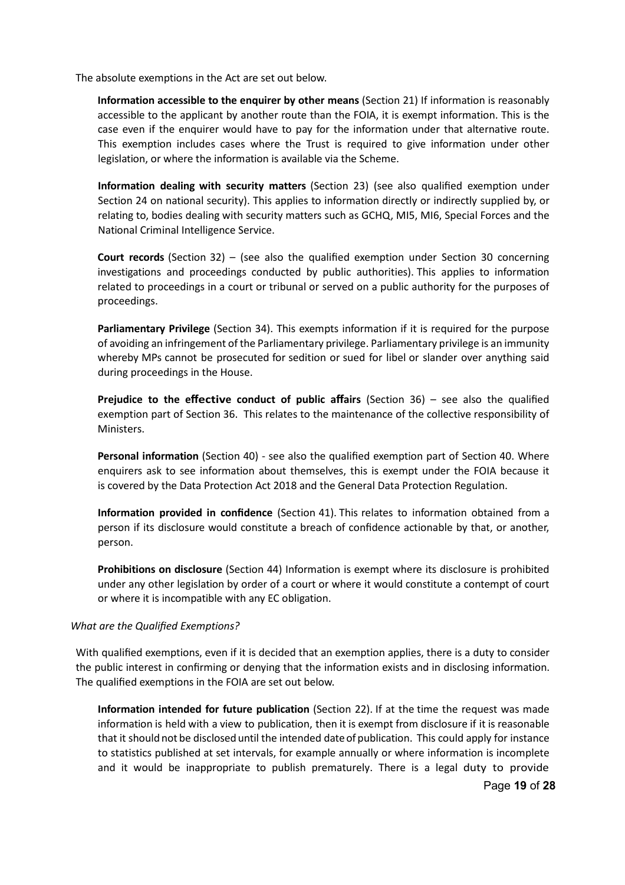The absolute exemptions in the Act are set out below.

**Information accessible to the enquirer by other means** (Section 21) If information is reasonably accessible to the applicant by another route than the FOIA, it is exempt information. This is the case even if the enquirer would have to pay for the information under that alternative route. This exemption includes cases where the Trust is required to give information under other legislation, or where the information is available via the Scheme.

**Information dealing with security matters** (Section 23) (see also qualified exemption under Section 24 on national security). This applies to information directly or indirectly supplied by, or relating to, bodies dealing with security matters such as GCHQ, MI5, MI6, Special Forces and the National Criminal Intelligence Service.

**Court records** (Section 32) – (see also the qualified exemption under Section 30 concerning investigations and proceedings conducted by public authorities). This applies to information related to proceedings in a court or tribunal or served on a public authority for the purposes of proceedings.

**Parliamentary Privilege** (Section 34). This exempts information if it is required for the purpose of avoiding an infringement of the Parliamentary privilege. Parliamentary privilege is an immunity whereby MPs cannot be prosecuted for sedition or sued for libel or slander over anything said during proceedings in the House.

**Prejudice to the effective conduct of public affairs** (Section 36) – see also the qualified exemption part of Section 36. This relates to the maintenance of the collective responsibility of Ministers.

**Personal information** (Section 40) - see also the qualified exemption part of Section 40. Where enquirers ask to see information about themselves, this is exempt under the FOIA because it is covered by the Data Protection Act 2018 and the General Data Protection Regulation.

**Information provided in confidence** (Section 41). This relates to information obtained from a person if its disclosure would constitute a breach of confidence actionable by that, or another, person.

**Prohibitions on disclosure** (Section 44) Information is exempt where its disclosure is prohibited under any other legislation by order of a court or where it would constitute a contempt of court or where it is incompatible with any EC obligation.

#### *What are the Qualified Exemptions?*

With qualified exemptions, even if it is decided that an exemption applies, there is a duty to consider the public interest in confirming or denying that the information exists and in disclosing information. The qualified exemptions in the FOIA are set out below.

**Information intended for future publication** (Section 22). If at the time the request was made information is held with a view to publication, then it is exempt from disclosure if it is reasonable that it should not be disclosed until the intended date of publication. This could apply for instance to statistics published at set intervals, for example annually or where information is incomplete and it would be inappropriate to publish prematurely. There is a legal duty to provide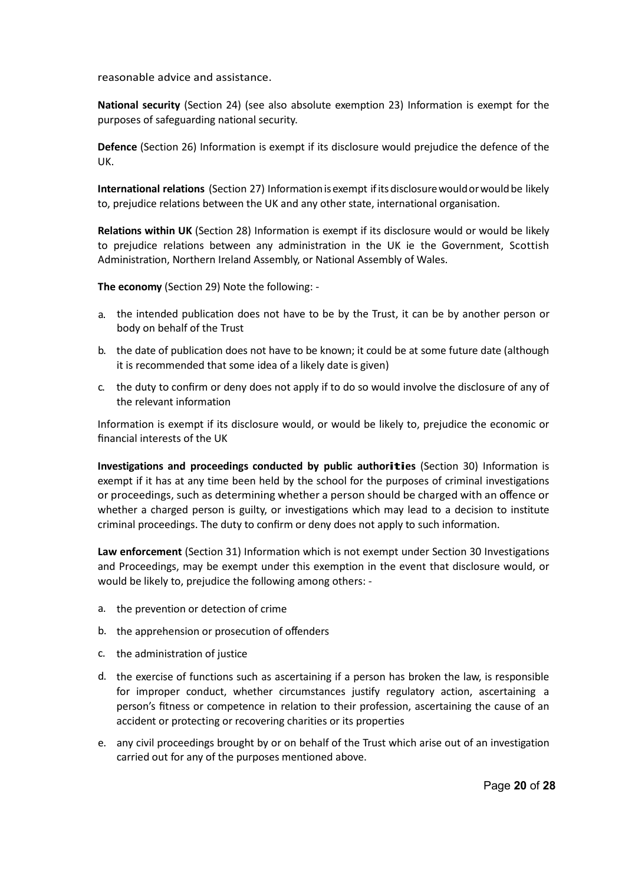reasonable advice and assistance.

**National security** (Section 24) (see also absolute exemption 23) Information is exempt for the purposes of safeguarding national security.

**Defence** (Section 26) Information is exempt if its disclosure would prejudice the defence of the UK.

International relations (Section 27) Information is exempt if its disclosure would or would be likely to, prejudice relations between the UK and any other state, international organisation.

**Relations within UK** (Section 28) Information is exempt if its disclosure would or would be likely to prejudice relations between any administration in the UK ie the Government, Scottish Administration, Northern Ireland Assembly, or National Assembly of Wales.

**The economy** (Section 29) Note the following: -

- a. the intended publication does not have to be by the Trust, it can be by another person or body on behalf of the Trust
- b. the date of publication does not have to be known; it could be at some future date (although it is recommended that some idea of a likely date is given)
- c. the duty to confirm or deny does not apply if to do so would involve the disclosure of any of the relevant information

Information is exempt if its disclosure would, or would be likely to, prejudice the economic or financial interests of the UK

**Investigations and proceedings conducted by public authorities** (Section 30) Information is exempt if it has at any time been held by the school for the purposes of criminal investigations or proceedings, such as determining whether a person should be charged with an offence or whether a charged person is guilty, or investigations which may lead to a decision to institute criminal proceedings. The duty to confirm or deny does not apply to such information.

**Law enforcement** (Section 31) Information which is not exempt under Section 30 Investigations and Proceedings, may be exempt under this exemption in the event that disclosure would, or would be likely to, prejudice the following among others: -

- a. the prevention or detection of crime
- b. the apprehension or prosecution of offenders
- c. the administration of justice
- d. the exercise of functions such as ascertaining if a person has broken the law, is responsible for improper conduct, whether circumstances justify regulatory action, ascertaining a person's fitness or competence in relation to their profession, ascertaining the cause of an accident or protecting or recovering charities or its properties
- e. any civil proceedings brought by or on behalf of the Trust which arise out of an investigation carried out for any of the purposes mentioned above.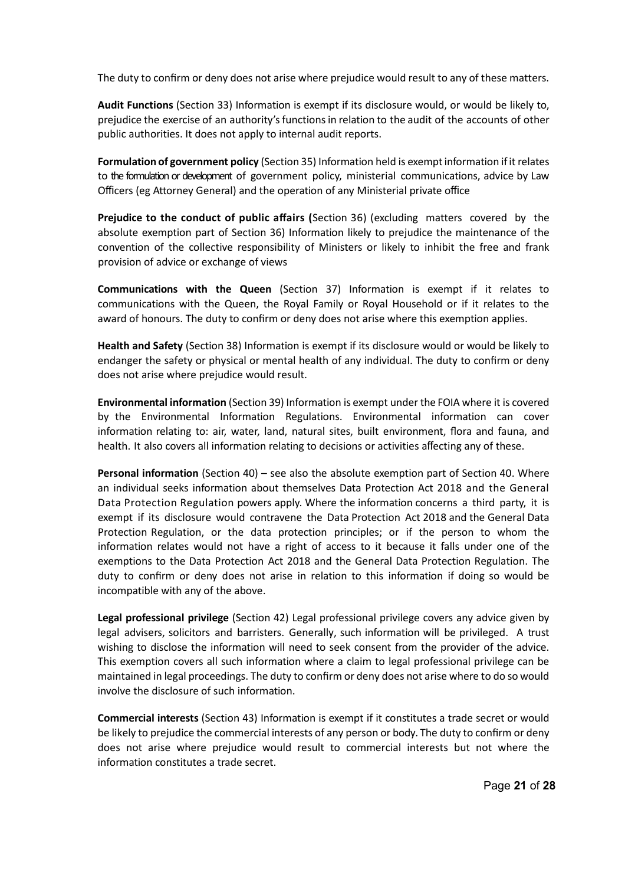The duty to confirm or deny does not arise where prejudice would result to any of these matters.

**Audit Functions** (Section 33) Information is exempt if its disclosure would, or would be likely to, prejudice the exercise of an authority's functions in relation to the audit of the accounts of other public authorities. It does not apply to internal audit reports.

**Formulation of government policy** (Section 35) Information held is exemptinformation ifit relates to the formulation or development of government policy, ministerial communications, advice by Law Officers (eg Attorney General) and the operation of any Ministerial private office

**Prejudice to the conduct of public affairs (**Section 36) (excluding matters covered by the absolute exemption part of Section 36) Information likely to prejudice the maintenance of the convention of the collective responsibility of Ministers or likely to inhibit the free and frank provision of advice or exchange of views

**Communications with the Queen** (Section 37) Information is exempt if it relates to communications with the Queen, the Royal Family or Royal Household or if it relates to the award of honours. The duty to confirm or deny does not arise where this exemption applies.

**Health and Safety** (Section 38) Information is exempt if its disclosure would or would be likely to endanger the safety or physical or mental health of any individual. The duty to confirm or deny does not arise where prejudice would result.

**Environmental information** (Section 39) Information is exempt under the FOIA where it is covered by the Environmental Information Regulations. Environmental information can cover information relating to: air, water, land, natural sites, built environment, flora and fauna, and health. It also covers all information relating to decisions or activities affecting any of these.

**Personal information** (Section 40) – see also the absolute exemption part of Section 40. Where an individual seeks information about themselves Data Protection Act 2018 and the General Data Protection Regulation powers apply. Where the information concerns a third party, it is exempt if its disclosure would contravene the Data Protection Act 2018 and the General Data Protection Regulation, or the data protection principles; or if the person to whom the information relates would not have a right of access to it because it falls under one of the exemptions to the Data Protection Act 2018 and the General Data Protection Regulation. The duty to confirm or deny does not arise in relation to this information if doing so would be incompatible with any of the above.

**Legal professional privilege** (Section 42) Legal professional privilege covers any advice given by legal advisers, solicitors and barristers. Generally, such information will be privileged. A trust wishing to disclose the information will need to seek consent from the provider of the advice. This exemption covers all such information where a claim to legal professional privilege can be maintained in legal proceedings. The duty to confirm or deny does not arise where to do so would involve the disclosure of such information.

**Commercial interests** (Section 43) Information is exempt if it constitutes a trade secret or would be likely to prejudice the commercial interests of any person or body. The duty to confirm or deny does not arise where prejudice would result to commercial interests but not where the information constitutes a trade secret.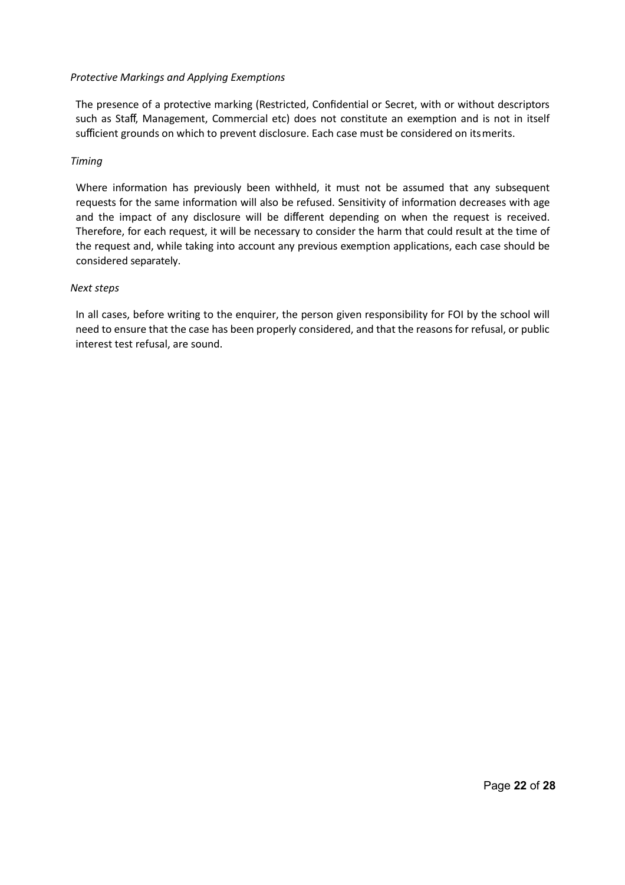### *Protective Markings and Applying Exemptions*

The presence of a protective marking (Restricted, Confidential or Secret, with or without descriptors such as Staff, Management, Commercial etc) does not constitute an exemption and is not in itself sufficient grounds on which to prevent disclosure. Each case must be considered on itsmerits.

### *Timing*

Where information has previously been withheld, it must not be assumed that any subsequent requests for the same information will also be refused. Sensitivity of information decreases with age and the impact of any disclosure will be different depending on when the request is received. Therefore, for each request, it will be necessary to consider the harm that could result at the time of the request and, while taking into account any previous exemption applications, each case should be considered separately.

#### *Next steps*

In all cases, before writing to the enquirer, the person given responsibility for FOI by the school will need to ensure that the case has been properly considered, and that the reasons for refusal, or public interest test refusal, are sound.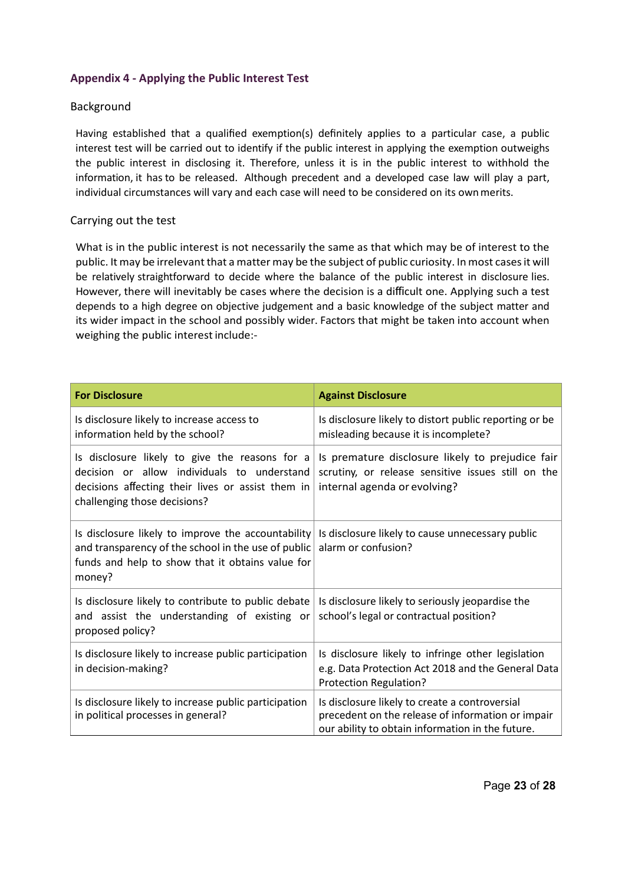# **Appendix 4 - Applying the Public Interest Test**

# Background

Having established that a qualified exemption(s) definitely applies to a particular case, a public interest test will be carried out to identify if the public interest in applying the exemption outweighs the public interest in disclosing it. Therefore, unless it is in the public interest to withhold the information, it has to be released. Although precedent and a developed case law will play a part, individual circumstances will vary and each case will need to be considered on its ownmerits.

### Carrying out the test

What is in the public interest is not necessarily the same as that which may be of interest to the public. It may be irrelevant that a matter may be the subject of public curiosity. In most cases it will be relatively straightforward to decide where the balance of the public interest in disclosure lies. However, there will inevitably be cases where the decision is a difficult one. Applying such a test depends to a high degree on objective judgement and a basic knowledge of the subject matter and its wider impact in the school and possibly wider. Factors that might be taken into account when weighing the public interest include:-

| <b>For Disclosure</b>                                                                                                                                                              | <b>Against Disclosure</b>                                                                                                                               |
|------------------------------------------------------------------------------------------------------------------------------------------------------------------------------------|---------------------------------------------------------------------------------------------------------------------------------------------------------|
| Is disclosure likely to increase access to<br>information held by the school?                                                                                                      | Is disclosure likely to distort public reporting or be<br>misleading because it is incomplete?                                                          |
| Is disclosure likely to give the reasons for a<br>decision or allow individuals to understand<br>decisions affecting their lives or assist them in<br>challenging those decisions? | Is premature disclosure likely to prejudice fair<br>scrutiny, or release sensitive issues still on the<br>internal agenda or evolving?                  |
| Is disclosure likely to improve the accountability<br>and transparency of the school in the use of public<br>funds and help to show that it obtains value for<br>money?            | Is disclosure likely to cause unnecessary public<br>alarm or confusion?                                                                                 |
| Is disclosure likely to contribute to public debate<br>and assist the understanding of existing or<br>proposed policy?                                                             | Is disclosure likely to seriously jeopardise the<br>school's legal or contractual position?                                                             |
| Is disclosure likely to increase public participation<br>in decision-making?                                                                                                       | Is disclosure likely to infringe other legislation<br>e.g. Data Protection Act 2018 and the General Data<br>Protection Regulation?                      |
| Is disclosure likely to increase public participation<br>in political processes in general?                                                                                        | Is disclosure likely to create a controversial<br>precedent on the release of information or impair<br>our ability to obtain information in the future. |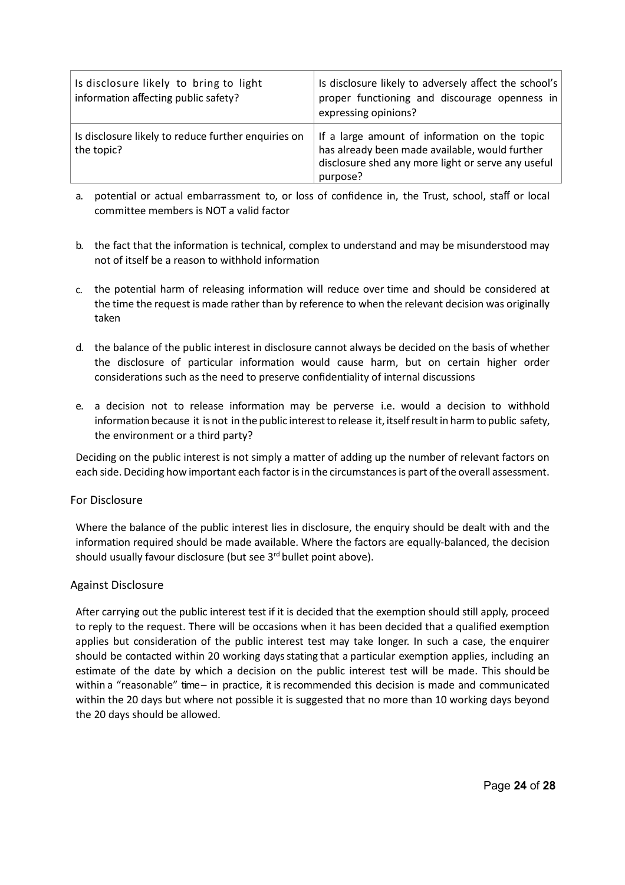| Is disclosure likely to bring to light<br>information affecting public safety? | Is disclosure likely to adversely affect the school's<br>proper functioning and discourage openness in<br>expressing opinions?                                    |
|--------------------------------------------------------------------------------|-------------------------------------------------------------------------------------------------------------------------------------------------------------------|
| Is disclosure likely to reduce further enquiries on<br>the topic?              | If a large amount of information on the topic<br>has already been made available, would further<br>disclosure shed any more light or serve any useful<br>purpose? |

- a. potential or actual embarrassment to, or loss of confidence in, the Trust, school, staff or local committee members is NOT a valid factor
- b. the fact that the information is technical, complex to understand and may be misunderstood may not of itself be a reason to withhold information
- c. the potential harm of releasing information will reduce over time and should be considered at the time the request is made rather than by reference to when the relevant decision was originally taken
- d. the balance of the public interest in disclosure cannot always be decided on the basis of whether the disclosure of particular information would cause harm, but on certain higher order considerations such as the need to preserve confidentiality of internal discussions
- e. a decision not to release information may be perverse i.e. would a decision to withhold information because it is not in the public interest to release it, itself result in harm to public safety, the environment or a third party?

Deciding on the public interest is not simply a matter of adding up the number of relevant factors on each side. Deciding how important each factor is in the circumstances is part of the overall assessment.

#### For Disclosure

Where the balance of the public interest lies in disclosure, the enquiry should be dealt with and the information required should be made available. Where the factors are equally-balanced, the decision should usually favour disclosure (but see 3<sup>rd</sup> bullet point above).

# Against Disclosure

After carrying out the public interest test if it is decided that the exemption should still apply, proceed to reply to the request. There will be occasions when it has been decided that a qualified exemption applies but consideration of the public interest test may take longer. In such a case, the enquirer should be contacted within 20 working daysstating that a particular exemption applies, including an estimate of the date by which a decision on the public interest test will be made. This should be within a "reasonable" time- in practice, it is recommended this decision is made and communicated within the 20 days but where not possible it is suggested that no more than 10 working days beyond the 20 days should be allowed.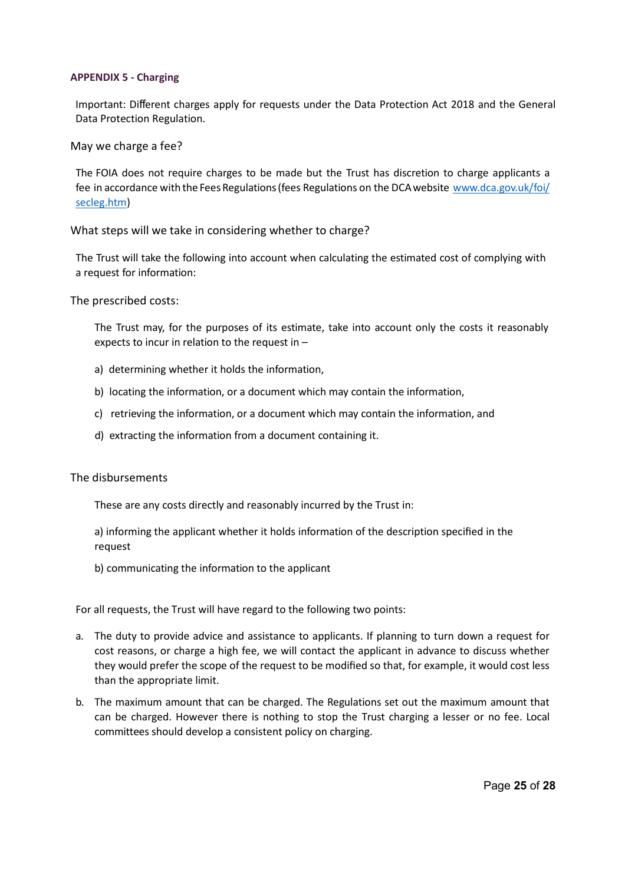#### **APPENDIX 5 - Charging**

Important: Different charges apply for requests under the Data Protection Act 2018 and the General Data Protection Regulation.

May we charge a fee?

The FOIA does not require charges to be made but the Trust has discretion to charge applicants a fee in accordance with the Fees Regulations (fees Regulations on the DCA website [www.dca.gov.uk/foi/](http://www.dca.gov.uk/foi/) secleg.htm)

What steps will we take in considering whether to charge?

The Trust will take the following into account when calculating the estimated cost of complying with a request for information:

The prescribed costs:

The Trust may, for the purposes of its estimate, take into account only the costs it reasonably expects to incur in relation to the request in –

- a) determining whether it holds the information,
- b) locating the information, or a document which may contain the information,
- c) retrieving the information, or a document which may contain the information, and
- d) extracting the information from a document containing it.

#### The disbursements

These are any costs directly and reasonably incurred by the Trust in:

a) informing the applicant whether it holds information of the description specified in the request

b) communicating the information to the applicant

For all requests, the Trust will have regard to the following two points:

- a. The duty to provide advice and assistance to applicants. If planning to turn down a request for cost reasons, or charge a high fee, we will contact the applicant in advance to discuss whether they would prefer the scope of the request to be modified so that, for example, it would cost less than the appropriate limit.
- b. The maximum amount that can be charged. The Regulations set out the maximum amount that can be charged. However there is nothing to stop the Trust charging a lesser or no fee. Local committees should develop a consistent policy on charging.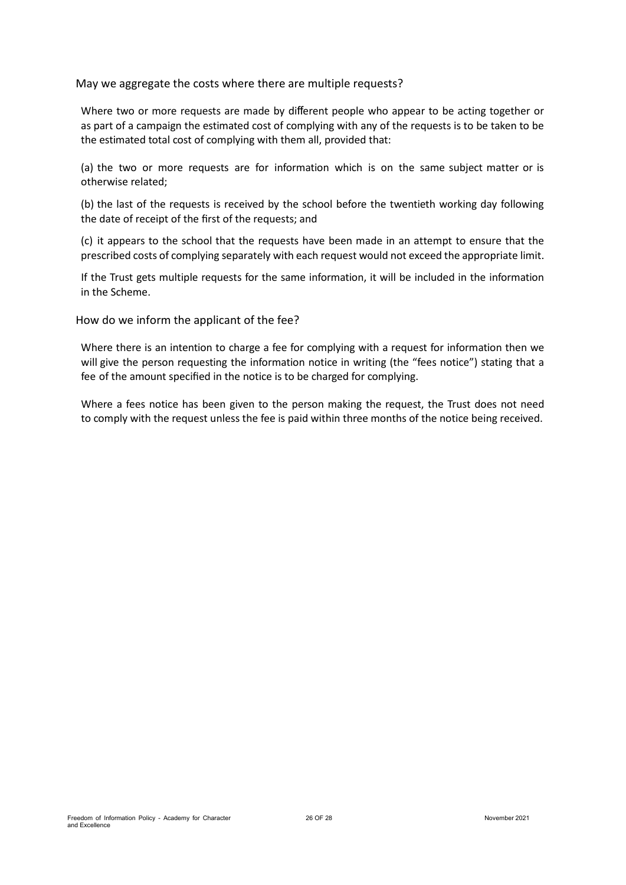May we aggregate the costs where there are multiple requests?

Where two or more requests are made by different people who appear to be acting together or as part of a campaign the estimated cost of complying with any of the requests is to be taken to be the estimated total cost of complying with them all, provided that:

(a) the two or more requests are for information which is on the same subject matter or is otherwise related;

(b) the last of the requests is received by the school before the twentieth working day following the date of receipt of the first of the requests; and

(c) it appears to the school that the requests have been made in an attempt to ensure that the prescribed costs of complying separately with each request would not exceed the appropriate limit.

If the Trust gets multiple requests for the same information, it will be included in the information in the Scheme.

How do we inform the applicant of the fee?

Where there is an intention to charge a fee for complying with a request for information then we will give the person requesting the information notice in writing (the "fees notice") stating that a fee of the amount specified in the notice is to be charged for complying.

Where a fees notice has been given to the person making the request, the Trust does not need to comply with the request unless the fee is paid within three months of the notice being received.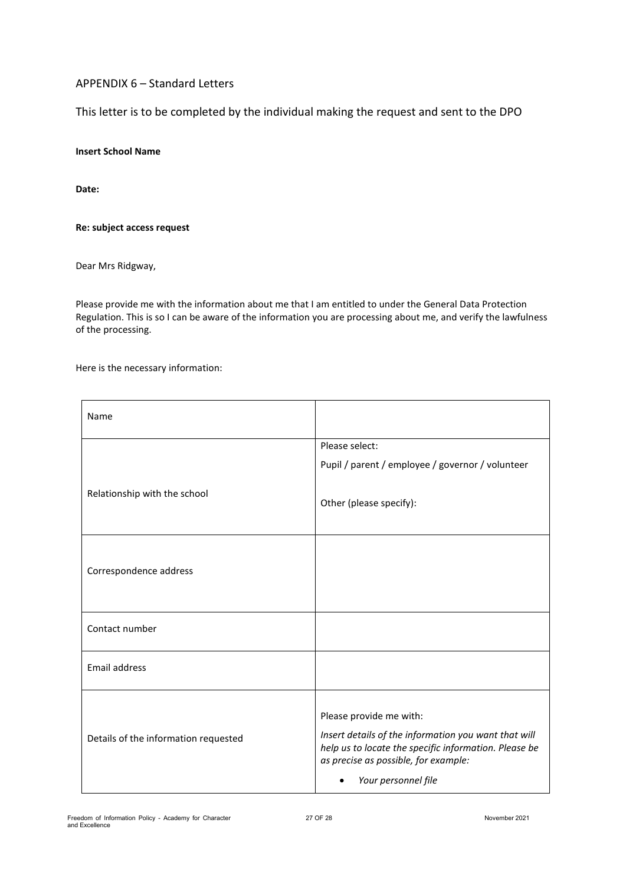# APPENDIX 6 – Standard Letters

This letter is to be completed by the individual making the request and sent to the DPO

#### **Insert School Name**

**Date:** 

#### **Re: subject access request**

Dear Mrs Ridgway,

Please provide me with the information about me that I am entitled to under the General Data Protection Regulation. This is so I can be aware of the information you are processing about me, and verify the lawfulness of the processing.

Here is the necessary information:

| Name                                 |                                                                                                                                                                                                         |
|--------------------------------------|---------------------------------------------------------------------------------------------------------------------------------------------------------------------------------------------------------|
|                                      | Please select:                                                                                                                                                                                          |
|                                      | Pupil / parent / employee / governor / volunteer                                                                                                                                                        |
| Relationship with the school         | Other (please specify):                                                                                                                                                                                 |
| Correspondence address               |                                                                                                                                                                                                         |
| Contact number                       |                                                                                                                                                                                                         |
| Email address                        |                                                                                                                                                                                                         |
| Details of the information requested | Please provide me with:<br>Insert details of the information you want that will<br>help us to locate the specific information. Please be<br>as precise as possible, for example:<br>Your personnel file |